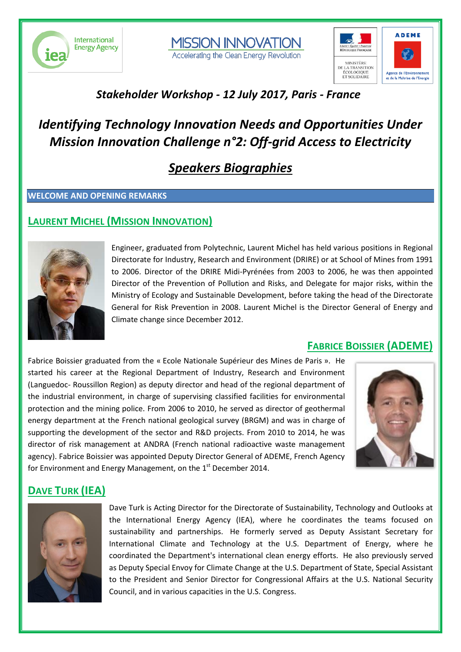





## *Stakeholder Workshop - 12 July 2017, Paris - France*

## *Identifying Technology Innovation Needs and Opportunities Under Mission Innovation Challenge n°2: Off-grid Access to Electricity*

## *Speakers Biographies*

#### **WELCOME AND OPENING REMARKS**

#### **LAURENT MICHEL (MISSION INNOVATION)**



Engineer, graduated from Polytechnic, Laurent Michel has held various positions in Regional Directorate for Industry, Research and Environment (DRIRE) or at School of Mines from 1991 to 2006. Director of the DRIRE Midi-Pyrénées from 2003 to 2006, he was then appointed Director of the Prevention of Pollution and Risks, and Delegate for major risks, within the Ministry of Ecology and Sustainable Development, before taking the head of the Directorate General for Risk Prevention in 2008. Laurent Michel is the Director General of Energy and Climate change since December 2012.

Fabrice Boissier graduated from the « Ecole Nationale Supérieur des Mines de Paris ». He started his career at the Regional Department of Industry, Research and Environment (Languedoc- Roussillon Region) as deputy director and head of the regional department of the industrial environment, in charge of supervising classified facilities for environmental protection and the mining police. From 2006 to 2010, he served as director of geothermal energy department at the French national geological survey (BRGM) and was in charge of supporting the development of the sector and R&D projects. From 2010 to 2014, he was director of risk management at ANDRA (French national radioactive waste management agency). Fabrice Boissier was appointed Deputy Director General of ADEME, French Agency for Environment and Energy Management, on the  $1<sup>st</sup>$  December 2014.



**FABRICE BOISSIER (ADEME)**

## **DAVE TURK (IEA)**



Dave Turk is Acting Director for the Directorate of Sustainability, Technology and Outlooks at the International Energy Agency (IEA), where he coordinates the teams focused on sustainability and partnerships. He formerly served as Deputy Assistant Secretary for International Climate and Technology at the U.S. Department of Energy, where he coordinated the Department's international clean energy efforts. He also previously served as Deputy Special Envoy for Climate Change at the U.S. Department of State, Special Assistant to the President and Senior Director for Congressional Affairs at the U.S. National Security Council, and in various capacities in the U.S. Congress.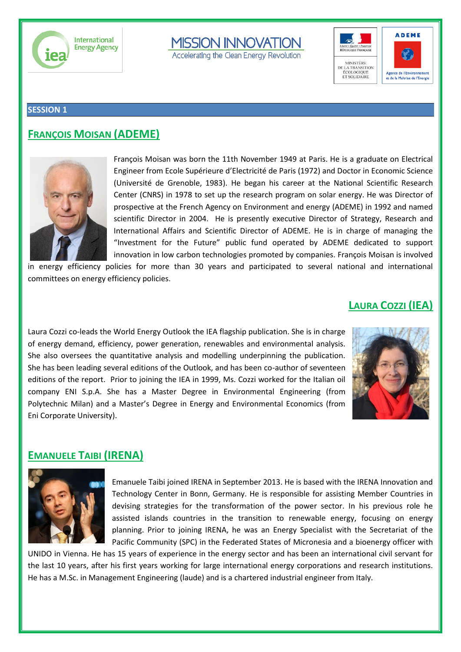

# **MISSION INNOVATION**

Accelerating the Clean Energy Revolution





#### **SESSION 1**

#### **FRANÇOIS MOISAN (ADEME)**



François Moisan was born the 11th November 1949 at Paris. He is a graduate on Electrical Engineer from Ecole Supérieure d'Electricité de Paris (1972) and Doctor in Economic Science (Université de Grenoble, 1983). He began his career at the National Scientific Research Center (CNRS) in 1978 to set up the research program on solar energy. He was Director of prospective at the French Agency on Environment and energy (ADEME) in 1992 and named scientific Director in 2004. He is presently executive Director of Strategy, Research and International Affairs and Scientific Director of ADEME. He is in charge of managing the "Investment for the Future" public fund operated by ADEME dedicated to support innovation in low carbon technologies promoted by companies. François Moisan is involved

in energy efficiency policies for more than 30 years and participated to several national and international committees on energy efficiency policies.

#### **LAURA COZZI (IEA)**

Laura Cozzi co-leads the World Energy Outlook the IEA flagship publication. She is in charge of energy demand, efficiency, power generation, renewables and environmental analysis. She also oversees the quantitative analysis and modelling underpinning the publication. She has been leading several editions of the Outlook, and has been co-author of seventeen editions of the report. Prior to joining the IEA in 1999, Ms. Cozzi worked for the Italian oil company ENI S.p.A. She has a Master Degree in Environmental Engineering (from Polytechnic Milan) and a Master's Degree in Energy and Environmental Economics (from Eni Corporate University).



#### **EMANUELE TAIBI (IRENA)**



Emanuele Taibi joined IRENA in September 2013. He is based with the IRENA Innovation and Technology Center in Bonn, Germany. He is responsible for assisting Member Countries in devising strategies for the transformation of the power sector. In his previous role he assisted islands countries in the transition to renewable energy, focusing on energy planning. Prior to joining IRENA, he was an Energy Specialist with the Secretariat of the Pacific Community (SPC) in the Federated States of Micronesia and a bioenergy officer with

UNIDO in Vienna. He has 15 years of experience in the energy sector and has been an international civil servant for the last 10 years, after his first years working for large international energy corporations and research institutions. He has a M.Sc. in Management Engineering (laude) and is a chartered industrial engineer from Italy.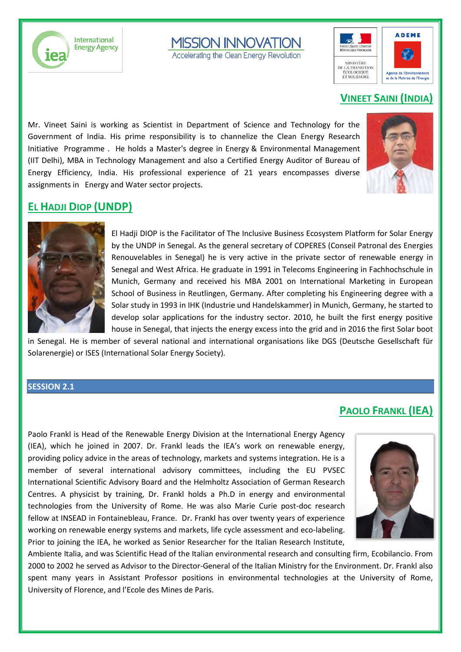

**MISSION INNOVATION** 

Accelerating the Clean Energy Revolution



#### **VINEET SAINI (INDIA)**

Mr. Vineet Saini is working as Scientist in Department of Science and Technology for the Government of India. His prime responsibility is to channelize the Clean Energy Research Initiative Programme . He holds a Master's degree in Energy & Environmental Management (IIT Delhi), MBA in Technology Management and also a Certified Energy Auditor of Bureau of Energy Efficiency, India. His professional experience of 21 years encompasses diverse assignments in Energy and Water sector projects.



#### **EL HADJI DIOP (UNDP)**



El Hadji DIOP is the Facilitator of The Inclusive Business Ecosystem Platform for Solar Energy by the UNDP in Senegal. As the general secretary of COPERES (Conseil Patronal des Energies Renouvelables in Senegal) he is very active in the private sector of renewable energy in Senegal and West Africa. He graduate in 1991 in Telecoms Engineering in Fachhochschule in Munich, Germany and received his MBA 2001 on International Marketing in European School of Business in Reutlingen, Germany. After completing his Engineering degree with a Solar study in 1993 in IHK (Industrie und Handelskammer) in Munich, Germany, he started to develop solar applications for the industry sector. 2010, he built the first energy positive house in Senegal, that injects the energy excess into the grid and in 2016 the first Solar boot

in Senegal. He is member of several national and international organisations like DGS (Deutsche Gesellschaft für Solarenergie) or ISES (International Solar Energy Society).

#### **SESSION 2.1**

#### **PAOLO FRANKL (IEA)**

Paolo Frankl is Head of the Renewable Energy Division at the International Energy Agency (IEA), which he joined in 2007. Dr. Frankl leads the IEA's work on renewable energy, providing policy advice in the areas of technology, markets and systems integration. He is a member of several international advisory committees, including the EU PVSEC International Scientific Advisory Board and the Helmholtz Association of German Research Centres. A physicist by training, Dr. Frankl holds a Ph.D in energy and environmental technologies from the University of Rome. He was also Marie Curie post-doc research fellow at INSEAD in Fontainebleau, France. Dr. Frankl has over twenty years of experience working on renewable energy systems and markets, life cycle assessment and eco-labeling. Prior to joining the IEA, he worked as Senior Researcher for the Italian Research Institute,



Ambiente Italia, and was Scientific Head of the Italian environmental research and consulting firm, Ecobilancio. From 2000 to 2002 he served as Advisor to the Director-General of the Italian Ministry for the Environment. Dr. Frankl also spent many years in Assistant Professor positions in environmental technologies at the University of Rome, University of Florence, and l'Ecole des Mines de Paris.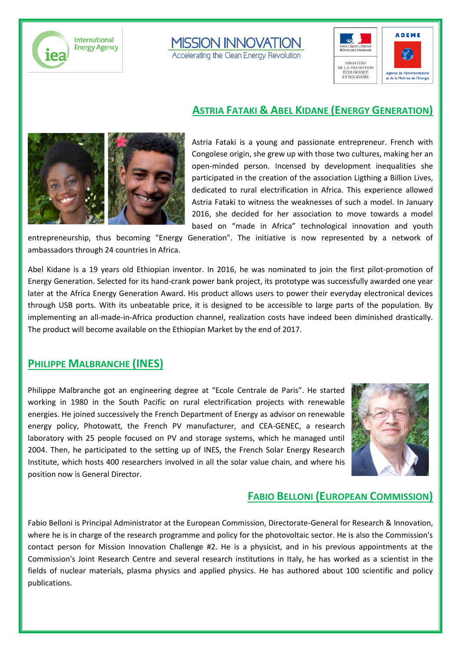

# **MISSION INNOVATION**

Accelerating the Clean Energy Revolution





#### **ASTRIA FATAKI & ABEL KIDANE (ENERGY GENERATION)**



Astria Fataki is a young and passionate entrepreneur. French with Congolese origin, she grew up with those two cultures, making her an open-minded person. Incensed by development inequalities she participated in the creation of the association Ligthing a Billion Lives, dedicated to rural electrification in Africa. This experience allowed Astria Fataki to witness the weaknesses of such a model. In January 2016, she decided for her association to move towards a model based on "made in Africa" technological innovation and youth

entrepreneurship, thus becoming "Energy Generation". The initiative is now represented by a network of ambassadors through 24 countries in Africa.

Abel Kidane is a 19 years old Ethiopian inventor. In 2016, he was nominated to join the first pilot-promotion of Energy Generation. Selected for its hand-crank power bank project, its prototype was successfully awarded one year later at the Africa Energy Generation Award. His product allows users to power their everyday electronical devices through USB ports. With its unbeatable price, it is designed to be accessible to large parts of the population. By implementing an all-made-in-Africa production channel, realization costs have indeed been diminished drastically. The product will become available on the Ethiopian Market by the end of 2017.

#### **PHILIPPE MALBRANCHE (INES)**

Philippe Malbranche got an engineering degree at "Ecole Centrale de Paris". He started working in 1980 in the South Pacific on rural electrification projects with renewable energies. He joined successively the French Department of Energy as advisor on renewable energy policy, Photowatt, the French PV manufacturer, and CEA-GENEC, a research laboratory with 25 people focused on PV and storage systems, which he managed until 2004. Then, he participated to the setting up of INES, the French Solar Energy Research Institute, which hosts 400 researchers involved in all the solar value chain, and where his position now is General Director.



#### **FABIO BELLONI (EUROPEAN COMMISSION)**

Fabio Belloni is Principal Administrator at the European Commission, Directorate-General for Research & Innovation, where he is in charge of the research programme and policy for the photovoltaic sector. He is also the Commission's contact person for Mission Innovation Challenge #2. He is a physicist, and in his previous appointments at the Commission's Joint Research Centre and several research institutions in Italy, he has worked as a scientist in the fields of nuclear materials, plasma physics and applied physics. He has authored about 100 scientific and policy publications.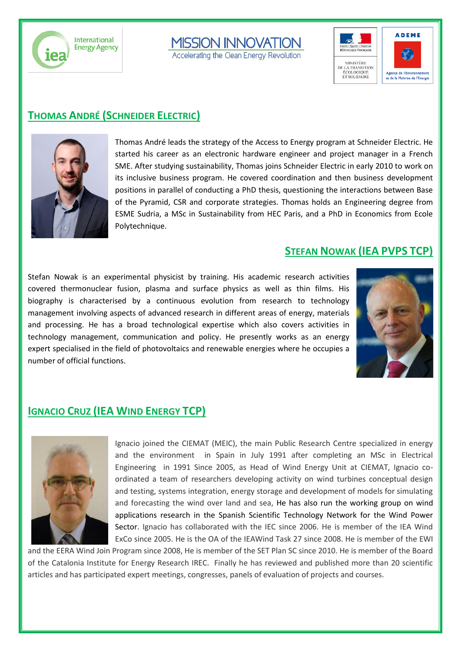iez

**International Energy Agency** 



Accelerating the Clean Energy Revolution





### **THOMAS ANDRÉ (SCHNEIDER ELECTRIC)**



Thomas André leads the strategy of the Access to Energy program at Schneider Electric. He started his career as an electronic hardware engineer and project manager in a French SME. After studying sustainability, Thomas joins Schneider Electric in early 2010 to work on its inclusive business program. He covered coordination and then business development positions in parallel of conducting a PhD thesis, questioning the interactions between Base of the Pyramid, CSR and corporate strategies. Thomas holds an Engineering degree from ESME Sudria, a MSc in Sustainability from HEC Paris, and a PhD in Economics from Ecole Polytechnique.

#### **STEFAN NOWAK (IEA PVPS TCP)**

Stefan Nowak is an experimental physicist by training. His academic research activities covered thermonuclear fusion, plasma and surface physics as well as thin films. His biography is characterised by a continuous evolution from research to technology management involving aspects of advanced research in different areas of energy, materials and processing. He has a broad technological expertise which also covers activities in technology management, communication and policy. He presently works as an energy expert specialised in the field of photovoltaics and renewable energies where he occupies a number of official functions.



#### **IGNACIO CRUZ (IEA WIND ENERGY TCP)**



Ignacio joined the CIEMAT (MEIC), the main Public Research Centre specialized in energy and the environment in Spain in July 1991 after completing an MSc in Electrical Engineering in 1991 Since 2005, as Head of Wind Energy Unit at CIEMAT, Ignacio coordinated a team of researchers developing activity on wind turbines conceptual design and testing, systems integration, energy storage and development of models for simulating and forecasting the wind over land and sea, He has also run the working group on wind applications research in the Spanish Scientific Technology Network for the Wind Power Sector. Ignacio has collaborated with the IEC since 2006. He is member of the IEA Wind ExCo since 2005. He is the OA of the IEAWind Task 27 since 2008. He is member of the EWI

and the EERA Wind Join Program since 2008, He is member of the SET Plan SC since 2010. He is member of the Board of the Catalonia Institute for Energy Research IREC. Finally he has reviewed and published more than 20 scientific articles and has participated expert meetings, congresses, panels of evaluation of projects and courses.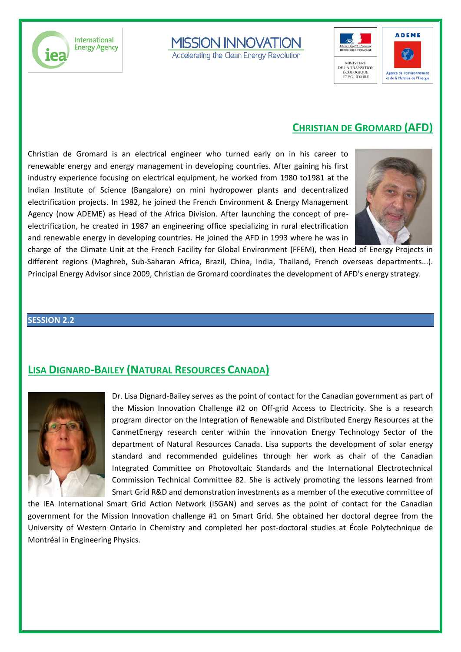



Accelerating the Clean Energy Revolution



#### **CHRISTIAN DE GROMARD (AFD)**

Christian de Gromard is an electrical engineer who turned early on in his career to renewable energy and energy management in developing countries. After gaining his first industry experience focusing on electrical equipment, he worked from 1980 to1981 at the Indian Institute of Science (Bangalore) on mini hydropower plants and decentralized electrification projects. In 1982, he joined the French Environment & Energy Management Agency (now ADEME) as Head of the Africa Division. After launching the concept of preelectrification, he created in 1987 an engineering office specializing in rural electrification and renewable energy in developing countries. He joined the AFD in 1993 where he was in



charge of the Climate Unit at the French Facility for Global Environment (FFEM), then Head of Energy Projects in different regions (Maghreb, Sub-Saharan Africa, Brazil, China, India, Thailand, French overseas departments...). Principal Energy Advisor since 2009, Christian de Gromard coordinates the development of AFD's energy strategy.

#### **SESSION 2.2**

### **LISA DIGNARD-BAILEY (NATURAL RESOURCES CANADA)**



Dr. Lisa Dignard-Bailey serves as the point of contact for the Canadian government as part of the Mission Innovation Challenge #2 on Off-grid Access to Electricity. She is a research program director on the Integration of Renewable and Distributed Energy Resources at the CanmetEnergy research center within the innovation Energy Technology Sector of the department of Natural Resources Canada. Lisa supports the development of solar energy standard and recommended guidelines through her work as chair of the Canadian Integrated Committee on Photovoltaic Standards and the International Electrotechnical Commission Technical Committee 82. She is actively promoting the lessons learned from Smart Grid R&D and demonstration investments as a member of the executive committee of

the IEA International Smart Grid Action Network (ISGAN) and serves as the point of contact for the Canadian government for the Mission Innovation challenge #1 on Smart Grid. She obtained her doctoral degree from the University of Western Ontario in Chemistry and completed her post-doctoral studies at École Polytechnique de Montréal in Engineering Physics.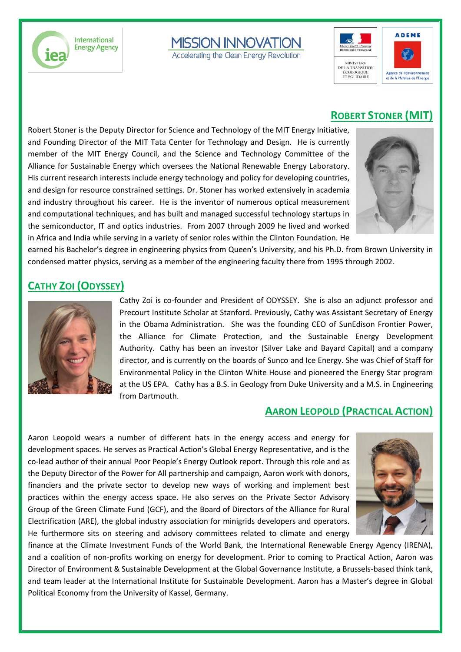

**MISSION INNOVATION** 

Accelerating the Clean Energy Revolution



#### **ROBERT STONER (MIT)**

Robert Stoner is the Deputy Director for Science and Technology of the MIT Energy Initiative, and Founding Director of the MIT Tata Center for Technology and Design. He is currently member of the MIT Energy Council, and the Science and Technology Committee of the Alliance for Sustainable Energy which oversees the National Renewable Energy Laboratory. His current research interests include energy technology and policy for developing countries, and design for resource constrained settings. Dr. Stoner has worked extensively in academia and industry throughout his career. He is the inventor of numerous optical measurement and computational techniques, and has built and managed successful technology startups in the semiconductor, IT and optics industries. From 2007 through 2009 he lived and worked in Africa and India while serving in a variety of senior roles within the Clinton Foundation. He



earned his Bachelor's degree in engineering physics from Queen's University, and his Ph.D. from Brown University in condensed matter physics, serving as a member of the engineering faculty there from 1995 through 2002.

#### **CATHY ZOI (ODYSSEY)**



Cathy Zoi is co-founder and President of ODYSSEY. She is also an adjunct professor and Precourt Institute Scholar at Stanford. Previously, Cathy was Assistant Secretary of Energy in the Obama Administration. She was the founding CEO of SunEdison Frontier Power, the Alliance for Climate Protection, and the Sustainable Energy Development Authority. Cathy has been an investor (Silver Lake and Bayard Capital) and a company director, and is currently on the boards of Sunco and Ice Energy. She was Chief of Staff for Environmental Policy in the Clinton White House and pioneered the Energy Star program at the US EPA. Cathy has a B.S. in Geology from Duke University and a M.S. in Engineering from Dartmouth.

#### **AARON LEOPOLD (PRACTICAL ACTION)**

Aaron Leopold wears a number of different hats in the energy access and energy for development spaces. He serves as Practical Action's Global Energy Representative, and is the co-lead author of their annual Poor People's Energy Outlook report. Through this role and as the Deputy Director of the Power for All partnership and campaign, Aaron work with donors, financiers and the private sector to develop new ways of working and implement best practices within the energy access space. He also serves on the Private Sector Advisory Group of the Green Climate Fund (GCF), and the Board of Directors of the Alliance for Rural Electrification (ARE), the global industry association for minigrids developers and operators. He furthermore sits on steering and advisory committees related to climate and energy



finance at the Climate Investment Funds of the World Bank, the International Renewable Energy Agency (IRENA), and a coalition of non-profits working on energy for development. Prior to coming to Practical Action, Aaron was Director of Environment & Sustainable Development at the Global Governance Institute, a Brussels-based think tank, and team leader at the International Institute for Sustainable Development. Aaron has a Master's degree in Global Political Economy from the University of Kassel, Germany.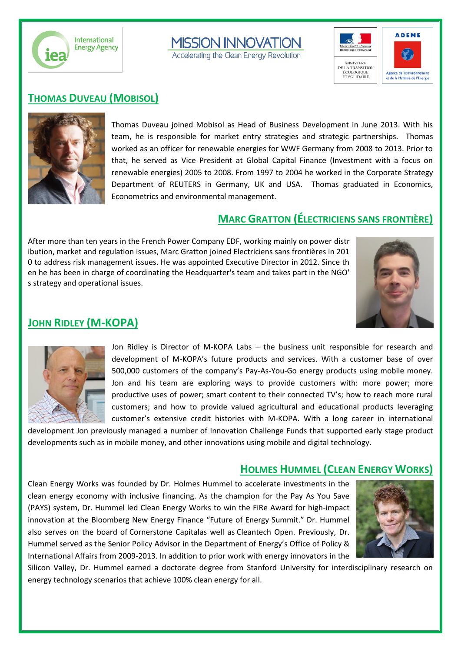



Accelerating the Clean Energy Revolution



#### **THOMAS DUVEAU (MOBISOL)**



Thomas Duveau joined Mobisol as Head of Business Development in June 2013. With his team, he is responsible for market entry strategies and strategic partnerships. Thomas worked as an officer for renewable energies for WWF Germany from 2008 to 2013. Prior to that, he served as Vice President at Global Capital Finance (Investment with a focus on renewable energies) 2005 to 2008. From 1997 to 2004 he worked in the Corporate Strategy Department of REUTERS in Germany, UK and USA. Thomas graduated in Economics, Econometrics and environmental management.

#### **MARC GRATTON (ÉLECTRICIENS SANS FRONTIÈRE)**

After more than ten years in the French Power Company EDF, working mainly on power distr ibution, market and regulation issues, Marc Gratton joined Electriciens sans frontières in 201 0 to address risk management issues. He was appointed Executive Director in 2012. Since th en he has been in charge of coordinating the Headquarter's team and takes part in the NGO' s strategy and operational issues.



#### **JOHN RIDLEY (M-KOPA)**



Jon Ridley is Director of M-KOPA Labs – the business unit responsible for research and development of M-KOPA's future products and services. With a customer base of over 500,000 customers of the company's Pay-As-You-Go energy products using mobile money. Jon and his team are exploring ways to provide customers with: more power; more productive uses of power; smart content to their connected TV's; how to reach more rural customers; and how to provide valued agricultural and educational products leveraging customer's extensive credit histories with M-KOPA. With a long career in international

development Jon previously managed a number of Innovation Challenge Funds that supported early stage product developments such as in mobile money, and other innovations using mobile and digital technology.

#### **HOLMES HUMMEL (CLEAN ENERGY WORKS)**

Clean Energy Works was founded by Dr. Holmes Hummel to accelerate investments in the clean energy economy with inclusive financing. As the champion for the Pay As You Save (PAYS) system, Dr. Hummel led Clean Energy Works to win the FiRe Award for high-impact innovation at the Bloomberg New Energy Finance "Future of Energy Summit." Dr. Hummel also serves on the board of [Cornerstone Capitala](http://cornerstonecapinc.com/)s well as [Cleantech Open.](http://cleantechopen.org/) Previously, Dr. Hummel served as the Senior Policy Advisor in the Department of Energy's Office of Policy & International Affairs from 2009-2013. In addition to prior work with energy innovators in the



Silicon Valley, Dr. Hummel earned a doctorate degree from Stanford University for interdisciplinary research on energy technology scenarios that achieve 100% clean energy for all.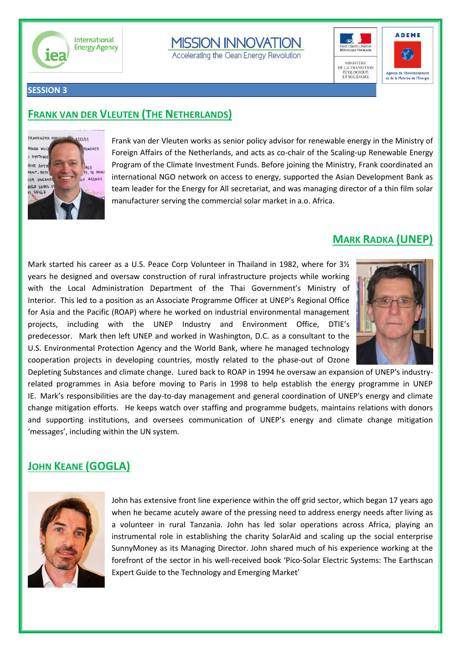

## **MISSION INNOVATION**

Accelerating the Clean Energy Revolution





#### **SESSION 3**

#### **FRANK VAN DER VLEUTEN (THE NETHERLANDS)**



Frank van der Vleuten works as senior policy advisor for renewable energy in the Ministry of Foreign Affairs of the Netherlands, and acts as co-chair of the Scaling-up Renewable Energy Program of the Climate Investment Funds. Before joining the Ministry, Frank coordinated an international NGO network on access to energy, supported the Asian Development Bank as team leader for the Energy for All secretariat, and was managing director of a thin film solar manufacturer serving the commercial solar market in a.o. Africa.

#### **MARK RADKA (UNEP)**

Mark started his career as a U.S. Peace Corp Volunteer in Thailand in 1982, where for 3½ years he designed and oversaw construction of rural infrastructure projects while working with the Local Administration Department of the Thai Government's Ministry of Interior. This led to a position as an Associate Programme Officer at UNEP's Regional Office for Asia and the Pacific (ROAP) where he worked on industrial environmental management projects, including with the UNEP Industry and Environment Office, DTIE's predecessor. Mark then left UNEP and worked in Washington, D.C. as a consultant to the U.S. Environmental Protection Agency and the World Bank, where he managed technology cooperation projects in developing countries, mostly related to the phase-out of Ozone



Depleting Substances and climate change. Lured back to ROAP in 1994 he oversaw an expansion of UNEP's industryrelated programmes in Asia before moving to Paris in 1998 to help establish the energy programme in UNEP IE. Mark's responsibilities are the day-to-day management and general coordination of UNEP's energy and climate change mitigation efforts. He keeps watch over staffing and programme budgets, maintains relations with donors and supporting institutions, and oversees communication of UNEP's energy and climate change mitigation 'messages', including within the UN system.

### **JOHN KEANE (GOGLA)**



John has extensive front line experience within the off grid sector, which began 17 years ago when he became acutely aware of the pressing need to address energy needs after living as a volunteer in rural Tanzania. John has led solar operations across Africa, playing an instrumental role in establishing the charity SolarAid and scaling up the social enterprise SunnyMoney as its Managing Director. John shared much of his experience working at the forefront of the sector in his well-received book 'Pico-Solar Electric Systems: The Earthscan Expert Guide to the Technology and Emerging Market'